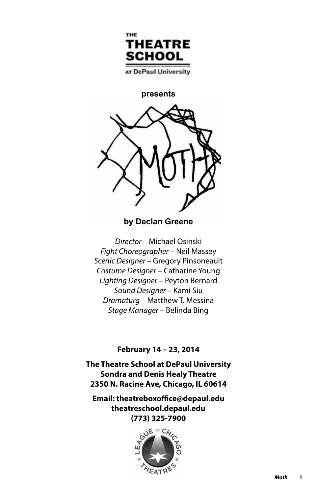

AT DePaul University

**presents**



**by Declan Greene** 

*Director –* Michael Osinski *Fight Choreographer* – Neil Massey *Scenic Designer* – Gregory Pinsoneault *Costume Designer* – Catharine Young *Lighting Designer* – Peyton Bernard *Sound Designer* – Kami Siu *Dramaturg* – Matthew T. Messina *Stage Manager* – Belinda Bing

### **February 14 – 23, 2014**

**The Theatre School at DePaul University Sondra and Denis Healy Theatre 2350 N. Racine Ave, Chicago, IL 60614**

**Email: theatreboxoffice@depaul.edu theatreschool.depaul.edu (773) 325-7900**

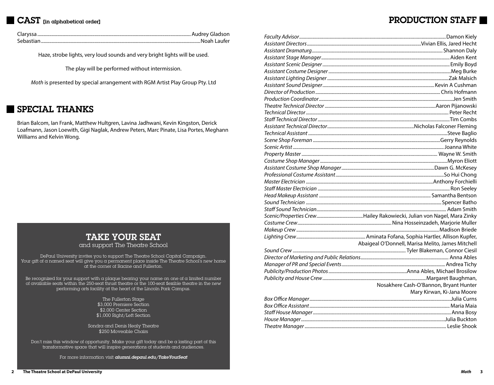## **CAST** [in alphabetical order]

## PRODUCTION STAFF

Haze, strobe lights, very loud sounds and very bright lights will be used.

The play will be performed without intermission.

*Moth* is presented by special arrangement with RGM Artist Play Group Pty. Ltd

## SPECIAL THANKS

Brian Balcom, Ian Frank, Matthew Hultgren, Lavina Jadhwani, Kevin Kingston, Derick Loafmann, Jason Loewith, Gigi Naglak, Andrew Peters, Marc Pinate, Lisa Portes, Meghann Williams and Kelvin Wong.

# TAKE YOUR SEAT

and support The Theatre School

DePaul University invites you to support The Theatre School Capital Campaign. Your gift of a named seat will give you a permanent place inside The Theatre School's new home at the corner of Racine and Fullerton.

Be recognized for your support with  $\alpha$  plaque bearing your name on one of  $\alpha$  limited number of available seats within the 250-seat thrust theatre or the 100-seat flexible theatre in the new performing arts facility at the heart of the Lincoln Park Campus.

> The Fullerton Stage \$3,000 Premiere Section \$2,000 Center Section \$1,000 Right/Left Section

Sondra and Denis Healy Theatre \$250 Moveable Chairs

Don't miss this window of opportunity. Make your gift today and be a lasting part of this transformative space that will inspire generations of students and audiences.

For more information visit *alumni.depaul.edu/TakeYourSeat*

| Abaigeal O'Donnell, Marisa Melito, James Mitchell |
|---------------------------------------------------|
|                                                   |
|                                                   |
|                                                   |
|                                                   |
|                                                   |
| Nosakhere Cash-O'Bannon, Bryant Hunter            |
| Mary Kirwan, Ki-Jana Moore                        |
|                                                   |
|                                                   |
|                                                   |
|                                                   |
|                                                   |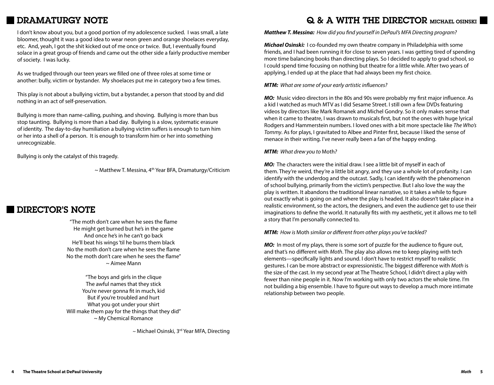## DRAMATURGY NOTE

I don't know about you, but a good portion of my adolescence sucked. I was small, a late bloomer, thought it was a good idea to wear neon green and orange shoelaces everyday, etc. And, yeah, I got the shit kicked out of me once or twice. But, I eventually found solace in a great group of friends and came out the other side a fairly productive member of society. I was lucky.

As we trudged through our teen years we filled one of three roles at some time or another: bully, victim or bystander. My shoelaces put me in category two a few times.

This play is not about a bullying victim, but a bystander, a person that stood by and did nothing in an act of self-preservation.

Bullying is more than name-calling, pushing, and shoving. Bullying is more than bus stop taunting. Bullying is more than a bad day. Bullying is a slow, systematic erasure of identity. The day-to-day humiliation a bullying victim suffers is enough to turn him or her into a shell of a person. It is enough to transform him or her into something unrecognizable.

Bullying is only the catalyst of this tragedy.

 $\sim$  Matthew T. Messina, 4<sup>th</sup> Year BFA, Dramaturgy/Criticism

## DIRECTOR'S NOTE

"The moth don't care when he sees the flame He might get burned but he's in the game And once he's in he can't go back He'll beat his wings 'til he burns them black No the moth don't care when he sees the flame No the moth don't care when he sees the flame" ~ Aimee Mann

"The boys and girls in the clique The awful names that they stick You're never gonna fit in much, kid But if you're troubled and hurt What you got under your shirt Will make them pay for the things that they did" ~ My Chemical Romance

 $\sim$  Michael Osinski, 3<sup>rd</sup> Year MFA, Directing

## Q & A WITH THE DIRECTOR MICHAEL OSINSKI

*Matthew T. Messina: How did you find yourself in DePaul's MFA Directing program?*

*Michael Osinski:* I co-founded my own theatre company in Philadelphia with some friends, and I had been running it for close to seven years. I was getting tired of spending more time balancing books than directing plays. So I decided to apply to grad school, so I could spend time focusing on nothing but theatre for a little while. After two years of applying, I ended up at the place that had always been my first choice.

*MTM: What are some of your early artistic influences?*

*MO:* Music video directors in the 80s and 90s were probably my first major influence. As a kid I watched as much MTV as I did Sesame Street. I still own a few DVDs featuring videos by directors like Mark Romanek and Michel Gondry. So it only makes sense that when it came to theatre, I was drawn to musicals first, but not the ones with huge lyrical Rodgers and Hammerstein numbers. I loved ones with a bit more spectacle like *The Who's Tommy*. As for plays, I gravitated to Albee and Pinter first, because I liked the sense of menace in their writing. I've never really been a fan of the happy ending.

*MTM: What drew you to* Moth*?*

*MO:* The characters were the initial draw. I see a little bit of myself in each of them. They're weird, they're a little bit angry, and they use a whole lot of profanity. I can identify with the underdog and the outcast. Sadly, I can identify with the phenomenon of school bullying, primarily from the victim's perspective. But I also love the way the play is written. It abandons the traditional linear narrative, so it takes a while to figure out exactly what is going on and where the play is headed. It also doesn't take place in a realistic environment, so the actors, the designers, and even the audience get to use their imaginations to define the world. It naturally fits with my aesthetic, yet it allows me to tell a story that I'm personally connected to.

*MTM: How is* Moth *similar or different from other plays you've tackled?*

*MO:* In most of my plays, there is some sort of puzzle for the audience to figure out, and that's no different with *Moth*. The play also allows me to keep playing with tech elements—specifically lights and sound. I don't have to restrict myself to realistic gestures. I can be more abstract or expressionistic. The biggest difference with *Moth* is the size of the cast. In my second year at The Theatre School, I didn't direct a play with fewer than nine people in it. Now I'm working with only two actors the whole time. I'm not building a big ensemble. I have to figure out ways to develop a much more intimate relationship between two people.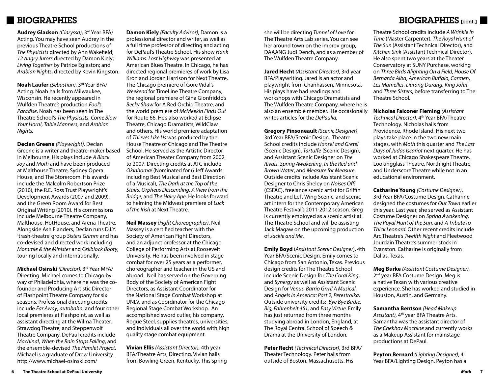## **BIOGRAPHIES**

**Audrey Gladson** *(Claryssa)*, 3rd Year BFA/ Acting. You may have seen Audrey in the previous Theatre School productions of *The Physicists* directed by Ann Wakefield; *12 Angry Jurors* directed by Damon Kiely; *Living Together* by Patrice Egleston; and *Arabian Nights*, directed by Kevin Kingston.

**Noah Laufer** *(Sebastian)*, 3rd Year BFA/ Acting. Noah hails from Milwaukee, Wisconsin. He recently appeared in Wulfden Theatre's production *Fool's Paradise*. Noah has been seen in The Theatre School's *The Physicists*, *Come Blow Your Horn!*, *Table Manners*, and *Arabian Nights.* 

**Declan Greene** *(Playwright),* Declan Greene is a writer and theatre-maker based in Melbourne. His plays include *A Black Joy* and *Moth* and have been produced at Malthouse Theatre, Sydney Opera House, and The Storeroom. His awards include the Malcolm Robertson Prize (2010), the R.E. Ross Trust Playwright's Development Awards (2007 and 2009), and the Green Room Award for Best Original Writing (2010). His commissions include Melbourne Theatre Company, Malthouse, HotHouse, and Arena Theatre. Alongside Ash Flanders, Declan runs D.I.Y. 'trash-theatre' group *Sisters Grimm* and has co-devised and directed work including *Mommie & the Minister* and *Cellblock Booty*, touring locally and internationally.

**Michael Osinski** *(Director),* 3rd Year MFA/ Directing. Michael comes to Chicago by way of Philadelphia, where he was the cofounder and Producing Artistic Director of Flashpoint Theatre Company for six seasons. Professional directing credits include *Far Away*, *autobahn*, and four other local premieres at Flashpoint, as well as assistant directing at the Wilma Theater, Strawdog Theatre, and Steppenwolf Theatre Company. DePaul credits include *Machinal*, *When the Rain Stops Falling*, and the ensemble-devised *The Hamlet Project*. Michael is a graduate of Drew University. http://www.michael-osinski.com/

**Damon Kiely** *(Faculty Advisor)*, Damon is a professional director and writer, as well as a full time professor of directing and acting for DePaul's Theatre School. His show *Hank Williams: Lost Highway* was presented at American Blues Theatre. In Chicago, he has directed regional premieres of work by Lisa Kron and Jordan Harrison for Next Theatre, The Chicago premiere of Gore Vidal's *Weekend* for TimeLine Theatre Company, the regional premiere of Gina Gionfriddo's *Becky Shaw* for A Red Orchid Theatre, and the world premiere of *McMeekin Finds Out*  for Route 66. He's also worked at Eclipse Theatre, Chicago Dramatists, WildClaw and others. His world premiere adaptation of *Thieves Like Us* was produced by the House Theatre of Chicago and The Theatre School. He served as the Artistic Director of American Theater Company from 2002 to 2007. Directing credits at ATC include *Oklahoma!* (Nominated for 6 Jeff Awards including Best Musical and Best Direction of a Musical), *The Dark at the Top of the Stairs*, *Orpheus Descending*, *A View from the Bridge*, and *The Hairy Ape*. He looks forward to helming the Midwest premiere of *Luck of the Irish* at Next Theatre.

**Neil Massey** *(Fight Choreographer)*. Neil Massey is a certified teacher with the Society of American Fight Directors, and an adjunct professor at the Chicago College of Performing Arts at Roosevelt University. He has been involved in stage combat for over 25 years as a performer, choreographer and teacher in the US and abroad. Neil has served on the Governing Body of the Society of American Fight Directors, as Assistant Coordinator for the National Stage Combat Workshop at UNLV, and as Coordinator for the Chicago Regional Stage Combat Workshop. An accomplished sword cutler, his company, Rogue Steel, supplies theatres, universities, and individuals all over the world with high quality stage combat equipment.

**Vivian Ellis** *(Assistant Director),* 4th year BFA/Theatre Arts, Directing. Vivian hails from Bowling Green, Kentucky. This spring she will be directing *Tunnel of Love* for The Theatre Arts Lab series. You can see her around town on the improv group, DAAANG Judi Dench, and as a member of The Wulfden Theatre Company.

**Jared Hecht** *(Assistant Director)*, 3rd year BFA/Playwriting. Jared is an actor and playwright from Chanhassen, Minnesota. His plays have had readings and workshops with Chicago Dramatists and The Wulfden Theatre Company, where he is also an ensemble member. He occasionally writes articles for the *DePaulia.*

**Gregory Pinsoneault** *(Scenic Designer)*, 3rd Year BFA/Scenic Design. Theatre School credits include *Hansel and Gretel* (Scenic Design), *Tartuffe* (Scenic Design), and Assistant Scenic Designer on *The Rivals*, *Spring Awakening*, *In the Red and Brown Water*, and *Measure for Measure*. Outside credits include Assistant Scenic Designer to Chris Sheley on *Noises Off!* (CSFAC), freelance scenic artist for Griffin Theatre and Left Wing Scenic, and scenic art intern for the Contemporary American Theatre Festival's 2011-2012 season. Greg is currently employed as a scenic artist at The Theatre School and will be assisting Jack Magaw on the upcoming production of *Jackie and Me*.

**Emily Boyd** (*Assistant Scenic Designer*), 4th Year BFA/Scenic Design. Emily comes to Chicago from San Antonio, Texas. Previous design credits for The Theatre School include Scenic Design for *The Coral King*, and *Synergy* as well as Assistant Scenic Design for *Venus, Barrio Grrrl! A Musical*, and *Angels in America: Part 2, Perestroika*. Outside university credits: *Bye Bye Birdie, Big, Fahrenheit 451,* and *Easy Virtue.* Emily has just returned from three months studying abroad in London, England, at The Royal Central School of Speech & Drama at the University of London*.*

**Peter Recht** *(Technical Director)*, 3rd BFA/ Theater Technology. Peter hails from outside of Boston, Massachusetts. His

BIOGRAPHIES [cont.]

Theatre School credits include *A Wrinkle in Time* (Master Carpenter), *The Royal Hunt of The Sun* (Assistant Technical Director), and *Kitchen Sink* (Assistant Technical Director). He also spent two years at the Theater Conservatory at SUNY Purchase, working on *Three Birds Alighting On a Field*, *House Of Bernarda Alba*, *American Buffalo*, *Carmen*, *Les Mamelles*, *Durang Durang*, *King John*, and *Three Sisters*, before transferring to The Theatre School.

**Nicholas Falconer Fleming** *(Assistant Technical Director),* 4th Year BFA/Theatre Technology. Nicholas hails from Providence, Rhode Island. His next two plays take place in the two new main stages, with *Moth* this quarter and *The Last Days of Judas Iscariot* next quarter. He has worked at Chicago Shakespeare Theatre, Lookingglass Theatre, Northlight Theatre, and Underscore Theatre while not in an educational environment.

**Catharine Young** *(Costume Designer)*, 3rd Year BFA/Costume Design. Catharine designed the costumes for *Our Town* earlier this year. Last year, she served as Assistant Costume Designer on *Spring Awakening, The Royal Hunt of the Sun,* and *A Tribute to Thick Leonard.* Other recent credits include Arc Theatre's *Twelfth Night* and Fleetwood Jourdain Theatre's summer stock in Evanston. Catharine is originally from Dallas, Texas.

**Meg Burke** *(Assistant Costume Designer),* 2<sup>nd</sup> year BFA Costume Design. Meg is a native Texan with various creative experience. She has worked and studied in Houston, Austin, and Germany.

**Samantha Bentson** *(Head Makeup*  Assistant), 4<sup>th</sup> year BFA Theatre Arts. Samantha was the assistant director of *The Chekhov Machine* and currently works as a Makeup Assistant for mainstage productions at DePaul.

**Peyton Bernard** *(Lighting Designer)*, 4<sup>th</sup> Year BFA/Lighting Design. Peyton has a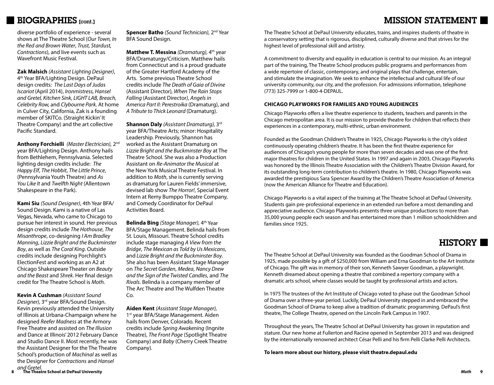## MISSION STATEMENT

## BIOGRAPHIES [cont.]

diverse portfolio of experience - several shows at The Theatre School (*Our Town, In the Red and Brown Water*, *Trust, Stardust, Contractions*), and live events such as Wavefront Music Festival.

**Zak Malsich** *(Assistant Lighting Designer)*, 4th Year BFA/Lighting Design. DePaul design credits: *The Last Days of Judas Iscariot* (April 2014), *Ironmistress, Hansel and Gretel, Kitchen Sink, LIGHT LAB, Breach, Celebrity Row,* and *Clybourne Park*. At home in Culver City, California, Zak is a founding member of SKITCo. (Straight Kickin' It Theatre Company) and the art collective Pacific Standard.

**Anthony Forchielli** *(Master Electrician),* 2nd year BFA/Lighting Design. Anthony hails from Bethlehem, Pennsylvania. Selected lighting design credits include: *The Happy Elf*, *The Hobbit*, *The Little Prince*, (Pennsylvania Youth Theatre) and *As You Like It* and *Twelfth Night* (Allentown Shakespeare in the Park).

**Kami Siu** *(Sound Designer)*, 4th Year BFA/ Sound Design. Kami is a native of Las Vegas, Nevada, who came to Chicago to pursue her interest in sound. Her previous design credits include *The Hothouse*, *The Misanthrope*, co-designing *I Am Bradley Manning*, *Lizzie Bright and the Buckminster Boy*, as well as *The Coral King*. Outside credits include designing Porchlight's ElectionFest and working as an A2 at Chicago Shakespeare Theater on *Beauty and the Beast* and *Shrek*. Her final design credit for The Theatre School is *Moth.*

**Kevin A Cushman** *(Assistant Sound Designer),* 3rd year BFA/Sound Design. Kevin previously attended the University of Illinois at Urbana-Champaign where he designed *Reefer Madness* at the Armory Free Theatre and assisted on *The Illusion* and Dance at Illinois' 2012 February Dance and Studio Dance II. Most recently, he was the Assistant Designer for the The Theatre School's production of *Machinal* as well as the Designer for *Contractions* and *Hansel* 

**Spencer Batho** *(Sound Technician)*, 2<sup>nd</sup> Year BFA Sound Design.

**Matthew T. Messina** *(Dramaturg),* 4th year BFA/Dramaturgy/Criticism. Matthew hails from Connecticut and is a proud graduate of the Greater Hartford Academy of the Arts. Some previous Theatre School credits include *The Death of Gaia of Divine*  (Assistant Director)*, When The Rain Stops Falling* (Assistant Director*), Angels in America Part II: Perestroika* (Dramaturg), and *A Tribute to Thick Leonard* (Dramaturg).

**Shannon Daly** *(Assistant Dramaturg),* 3rd year BFA/Theatre Arts; minor: Hospitality Leadership. Previously, Shannon has worked as the Assistant Dramaturg on *Lizzie Bright and the Buckminster Boy* at The Theatre School. She was also a Production Assistant on *Re-Animator the Musical* at the New York Musical Theatre Festival. In addition to *Moth*, she is currently serving as dramaturg for Lauren Fields' immersive, devised lab show *The Horror!*, Special Event Intern at Remy Bumppo Theatre Company, and Comedy Coordinator for DePaul Activities Board.

**Belinda Bing** *(Stage Manager),* 4th Year BFA/Stage Management. Belinda hails from St. Louis, Missouri. Theatre School credits include stage managing *A View from the Bridge*, *The Mexican as Told by Us Mexicans*, and *Lizzie Bright and the Buckminster Boy*. She also has been Assistant Stage Manager on *The Secret Garden*, *Medea*, *Nancy Drew and the Sign of the Twisted Candles*, and *The Rivals*. Belinda is a company member of The Arc Theatre and The Wulfden Theatre  $Co<sub>1</sub>$ 

**Aiden Kent** *(Assistant Stage Manager),* 1<sup>st</sup> year BFA/Stage Management. Aiden hails from Denver, Colorado. Recent credits include *Spring Awakening* (Ingnite Theatre), *The Front Page* (Spotlight Theatre Company) and *Baby* (Cherry Creek Theatre Company).

The Theatre School at DePaul University educates, trains, and inspires students of theatre in a conservatory setting that is rigorous, disciplined, culturally diverse and that strives for the highest level of professional skill and artistry.

A commitment to diversity and equality in education is central to our mission. As an integral part of the training, The Theatre School produces public programs and performances from a wide repertoire of classic, contemporary, and original plays that challenge, entertain, and stimulate the imagination. We seek to enhance the intellectual and cultural life of our university community, our city, and the profession. For admissions information, telephone (773) 325-7999 or 1-800-4-DEPAUL.

### **CHICAGO PLAYWORKS FOR FAMILIES AND YOUNG AUDIENCES**

Chicago Playworks offers a live theatre experience to students, teachers and parents in the Chicago metropolitan area. It is our mission to provide theatre for children that reflects their experiences in a contemporary, multi-ethnic, urban environment.

Founded as the Goodman Children's Theatre in 1925, Chicago Playworks is the city's oldest continuously operating children's theatre. It has been the first theatre experience for audiences of Chicago's young people for more than seven decades and was one of the first major theatres for children in the United States. In 1997 and again in 2003, Chicago Playworks was honored by the Illinois Theatre Association with the Children's Theatre Division Award, for its outstanding long-term contribution to children's theatre. In 1980, Chicago Playworks was awarded the prestigious Sara Spencer Award by the Children's Theatre Association of America (now the American Alliance for Theatre and Education).

Chicago Playworks is a vital aspect of the training at The Theatre School at DePaul University. Students gain pre-professional experience in an extended run before a most demanding and appreciative audience. Chicago Playworks presents three unique productions to more than 35,000 young people each season and has entertained more than 1 million schoolchildren and families since 1925.

## HISTORY **N**

The Theatre School at DePaul University was founded as the Goodman School of Drama in 1925, made possible by a gift of \$250,000 from William and Erna Goodman to the Art Institute of Chicago. The gift was in memory of their son, Kenneth Sawyer Goodman, a playwright. Kenneth dreamed about opening a theatre that combined a repertory company with a dramatic arts school, where classes would be taught by professional artists and actors.

In 1975 The trustees of the Art Institute of Chicago voted to phase out the Goodman School of Drama over a three-year period. Luckily, DePaul University stepped in and embraced the Goodman School of Drama to keep alive a tradition of dramatic programming. DePaul's first theatre, The College Theatre, opened on the Lincoln Park Campus in 1907.

Throughout the years, The Theatre School at DePaul University has grown in reputation and stature. Our new home at Fullerton and Racine opened in September 2013 and was designed by the internationally renowned architect César Pelli and his firm Pelli Clarke Pelli Architects.

**To learn more about our history, please visit theatre.depaul.edu**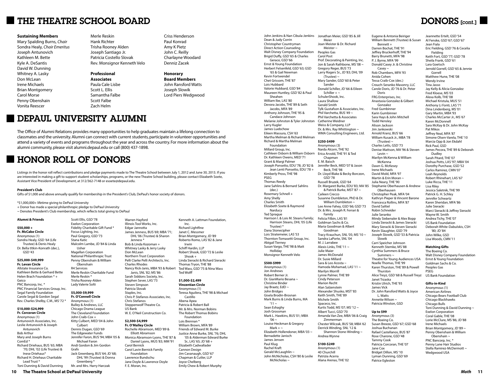## **THE THEATRE SCHOOL BOARD**

#### **Sustaining Members**

Mary Spalding Burns, *Chair* Sondra Healy, *Chair Emeritus* Joseph Antunovich Kathleen M. Bette Kyle A. DeSantis David W. Dunning Whitney A. Lasky Don McLean Irene Michaels Brian Montgomery Carol Morse Penny Obenshain Vonita Reescer

Merle Reskin Hank Richter Trisha Rooney Alden Joseph Santiago Jr. Patricia Costello Slovak Rev. Monsignor Kenneth Velo

### **Professional Associates**

Paula Cale Lisbe Scott L. Ellis Samantha Falbe Scott Falbe Zach Helm

Criss Henderson Paul Konrad Amy K Pietz John C. Reilly Charlayne Woodard Denniz Zacek

### **Honorary**

**Board Members** John Ransford Watts Joseph Slowik Lord Piers Wedgwood

## DEPAUL UNIVERSITY ALUMNI

The Office of Alumni Relations provides many opportunities to help graduates maintain a lifelong connection to classmates and the university. Alumni can connect with current students, participate in volunteer opportunities and attend a variety of events and programs throughout the year and across the country. For more information about the alumni community, please visit alumni.depaul.edu or call (800) 437-1898.

## HONOR ROLL OF DONORS

Listings in the honor roll reflect contributions and pledge payments made to The Theatre School between July 1, 2012 and June 30, 2013. If you are interested in making a gift to support student scholarships, programs, or the new Theatre School building, please contact Elizabeth Soete, Assistant Vice President of Development, at 312/362-7148 or esoete@depaul.edu.

#### **President's Club**

Gifts of \$1,000 and above annually qualify for membership in the President's Club, DePaul's honor society of donors.

\*\$1,000,000+ lifetime giving to DePaul University

+ Donor has made a special philanthropic pledge to DePaul University ~ Denotes President's Club membership, which reflects total giving to DePaul

Grafx

Mr. and Mrs. Harry Harczak

Scott Ellis, GSD '78 Exelon Corporation

### **Alumni & Friends**

**\$50,000 + Fr. McCabe Circle** Anonymous (1)

Sondra Healy, GSD '64 (Life Trustee) & Denis Healy Dr. Bella tItkin-Konrath (dec.),

GSD '43

#### **\$25,000-\$49,999 Fr. Levan Circle**

Allstate Insurance Co. Kathleen Bette & Gerhard Bette Helen Brach Foundation \* + Geico PNC Bancorp, Inc. \*

PNC Financial Services Group, Inc. Segal Family Foundation Carole Segal & Gordon Segal Rev. Charles Shelby, C.M., MS '72 \*

### **\$10,000-\$24,999**

**Fr. Corcoran Circle** Anonymous (1) Antunovich Associates, Inc. Leslie Antunovich & Joseph Antunovich Bob Arthur Mary and Joseph Burns ComEd \* Richard Driehaus, BUS '65; MBA '70; DHL '02 (Life Trustee) & Inese Driehaus\* Richard H. Driehaus Charitable Lead Trust \* Toni Dunning & David Dunning

Fidelity Charitable Gift Fund \* Focus Lighting, Inc. Paul Gregory, GSD '73 Stana Katic Malcolm Lambe, JD '84 & Linda Usher Magellan Corporation National Philanthropic Trust Penny Obenshain & William Obenshain R4 Services Merle Reskin Charitable Fund Merle Reskin \* Trisha Rooney-Alden Lady Valerie Solti **\$5,000-\$9,999 Fr. O'Connell Circle** Anonymous (1) Bulley & Andrews, LLC Chicago Drama League The Cleveland Foundation John Craib-Cox +

Kitty Culbert, MED '04 & John Culbert Dennis Dugan, GSD '69 The Edgewater Funds Jennifer Faron, BUS '94; MBA '05 & Michael Faron Andi Gordon & Jim Gordon Jack Greenberg, BUS '64; JD '68; DHL '99 (Trustee) & Donna Greenberg \*

Warren Hayford Illinois Tool Works, Inc. Edgar Jannotta James Jenness, BUS '69; MBA '71; DHL '06 (Trustee) & Sharon Jenness \* Bob & Linda Kozoman + Whitney Lasky & Jerry Lasky Don McLean Northern Trust Corporation Pelli Clarke Pelli Architects, Inc. Charles Rhodes Nancy Rick-Janis, MBA '93 & Robert Janis, SNL '82; MS '86 Sarah Siddons Society, Inc. Stephen Sever, LAS'73 Steven Simpson Patricia Slovak Staples, Inc. Chris P. Stefanos Associates, Inc. Chris Stefanos Steppenwolf Theatre Co. US Bank W. E. O'Neil Construction Co. Kenneth A. Lattman Foundation,

### **\$2,500-\$4,999**

**Fr. O'Malley Circle** Rochelle Abramson, MED '89 & Elliott Abramson Monica Abramson-Lyons, THE '87 & Daniel Lyons, MUS '83; MM '91 Carol Bernick Carol Lavin Bernick Family Foundation Lawrence Bundschu Jane Doyle & Lawrence Doyle F. E. Moran, Inc.

Inc. Richard Lightfine Janet C. Messmer Brian Montgomery, JD '89 Roberto Romo, LAS '82 & Jane Irwin Schiff Hardin, LLP Robert Shook, GSD '72 & Leslie Shook +

Linda Sieracki & Richard Sieracki Thomas Tryon, THE '88 Ted Wass, GSD '75 & Nina Wass Ted Wolff

**\$1,000-\$2,499 Vincentian Circle** Anonymous (1)

Teresa Aguilera, THE '98 & Michael Castillo Abena Apea Patricia & Robert Ball Mr. & Mrs. Norman Bobins The Robert Thomas Bobins Foundation Lois Brennan \* William Brown, MFA '89 Friends of Edward M. Burke Justice Anne Burke, SNL '76; DHL '05 & Alderman Edward Burke  $Sr$ . LAS '65; JD '68 + Elizabeth Cadwallader Cannon Design Jim Cavanaugh, GSD '67 Chapman & Cutler, LLP Joyce Chelberg Emily Chew & Robert Murphy

John Jenkins & Nan Cibula-Jenkins Jonathan Meier, GSD '85 & Jill Dean & Judy Corrin Christopher Countryman Direct Action Counseling Walt Disney Company Foundation Brigid Duffy, GSD '65 & Charles Gerace, GSD '66 Ernst & Young Foundation Herbert Felsenfeld, GSD '63; GSD '65 & Gail Newman Kevin Fortwendel Chet Grissom, THE '87 Lois Hubbard Valorie Hubbard, GSD '84 Maureen Huntley, GSD '82 & Paul Sheahen William Ibe, LAS '80 Devora Jacobs, THE '89 & Seth Jacobs, MFA '89 Anthony Johnson, THE '95 & Candace Johnson Melanie Johnston & Tyler Johnston Larry Kugler James Luebchow Eileen Massura, CSH '63 Martha Melman & Richard Melman Richard & Martha Melman Foundation Millard Group, Inc. Cathleen Osborn & William Osborn Dr. Kathleen Owens, MED '71 Grant & Margi Palmer Joseph Ponsetto, EDU '78; JD '82 & Jean Lenti Ponsetto, EDU '78 + Kimberly Pross, THE '98 PSEG Thomas Reedy Jane Sahlins & Bernard Sahlins (dec.) Rosemary Schnell + Amy Shelly Charles Smith Elizabeth Soete & Raymond Narducy Ted Sprague Harrison I. & Lois M. Steans Family; Harrison Steans, DHL '05 (Life Trustee) \* Dana Stonecipher Lois Stratemeier, LAS '53 Thornton-Tomasetti Group, Inc. Abigail Tierney Susan Vargo, THE '98 & Matt Holliday Monsignor Kenneth Velo **\$500-\$999** Anonymous (1) Jon Andrews Robert Berner Jr. Dr. GianMario Besana ~ Christine Binder Jay Braatz, EdD ~ John Bridges Gisela Brodin-Brosnan Mark Burns & Linda Burns, MA  $'11 -$ Sean Eshaghy Josh Grossman Mark L. Hawkins, BUS '01; MBA  $'06 \sim$ Louise Heckman & Gregory Mark  $+\sim$ Elizabeth Hollendoner, MBA '03 ~ Bernadette Janisch James Jensen Paul Klug Rachel Kraft Gerald McLaughlin ~ John McNicholas, CSH '80 & Leslie McNicholas ~

Meier Joan Meister & Dr. Richard Meister ~ Peoples Gas Carol Post Prof. Decorating & Painting, Inc. Jon & Sarah Rathbone, MS '08 ~ Gregory Reger, BUS '73 Larry Rogers Sr., JD '83; DHL '09  $(T_{\text{futoff}})$  ~ Mary Sander, GSD '60 & Peter Sander Donald Schiller, JD '66 & Eileen Schiller +  $\sim$ SchulerShook, Inc. Laura Shallow Gerald Smith Tylk Gustafson & Associates, Inc. Phil Varchetta, BUS '49 ~ Phil Varchetta & Associates Catherine Weidner Weiss & Company, LLP Dr. & Mrs. Ray Whittington ~ WMA Consulting Engineers, Ltd. **\$250-\$499** Anonymous (3) Narda Alcorn, THE '92 Erica Arvold, THE '91 & Ted Chapman E. M. Baisch Jennifer Beck, MED '07 & Jason Beck, THE '98 Dr. Lloyd Blake & Becky Borczon, GSD '78 Russell Bruzek, GSD '64 Dr. Margaret Burke, EDU '83; MA '85 Stephanie Oberhausen & Andrew & Patrick Burke, MST '87 ~ Caileen Crecco Susanne Dumbleton, PhD & Dr. William Dumbleton ~ Lee Anne Fahey, GSD '66; GSD '73 Dr. & Mrs. Joseph R. Ferrari & Family Felicia Filbin, LAS '81 Goldman Sachs & Co. Maria Goodman & Albert Goodman Tracy Krauchun, SNL '05: MS '10 ~ Sandra LaPorte, SNL '04 M. J. Larrabee Alexis Links, THE '11 ~ Julie Maier James McDonald Dr. Susie Millard Sara & Leo Acosta ~ Hamoda Mohamad, LAS'11 ~ Marilyn Morrill Lynne Palmer, THE '89 Cindy Peterson Marion Recht Alan Salzenstein Alexander Shusko, MST '83 Keith Smith, THE '89 Michele Smith Spaceco, Inc. Kurtis Todd, MS '07; MS '12 ~ Albert Tucci, GSD '70 Amanda Van Zee, MBA '06 & Craig Zimmerman Chester Wilczak, BUS '58; MBA '62 Derrick Winding, SNL '12 & Shannon Stone-Winding ~ Andrea Wynne Noelle Thomas, THE '99 Janet Trzaska Kristin Ulrich, THE '93 James Vick Dr. John Ransford Watts & Joyce Annette Wilson ~ Patricia Winston, GSD **Up to \$99** Anonymous (3) The Boeing Co. Susan Breeze, GSD '67; GSD '68 Joshua Buchanan Rafael Castellanos, BUS '87 Rose Charone, GSD '48

**\$100-\$249** Anonymous (1)

40 Churchill Patrizia Acerra Alana Arenas, THE '02 Eugene & Antonia Beiriger William Bennett (Trustee) & Susan Bennett + Darren Bochat, THE '91 Jeffrey Bruckerhoff, THE '94 Barry Brunetti, MFA '98 P. J. Byrne, MFA '99 Donald Casey Jr. & Christine Casey ~ Rob Chambers, MFA '93 Anida Cohen Tessa Craib-Cox (dec.) Crouch-Seranko Masonry, LLC Carole Doris, JD '76 & Dr. Peter Doris FRG Enterprises, Inc. Anastasia Gonzalez & Gilbert Gonzalez Fred Gumbinner Karin Gumbinner Sara Hays & John Mitchell Todd Hensley Alison Jackson Jim Jankowski Arnold Kranz, BUS '66 William Kusack Jr., MBA '78 (Trustee) ~ Charles Letts, GSD '73 Denise Mattson, MA '96 & Steven Levin ~ Marilyn McKenna & William **McKenna** Dawn G. McKesey Irene Michaels David Mold, MFA '97 Martin & Erin Moran ~ Julia Neary, THE '90 .<br>Oberhausen Christopher Peak, MFA '04 Kathryn Pieper & Vincent Barone Francesca Rollins, MFA '87 David Saltiel Robin Schneider Julie Seranko Mindy Siebenaler & Alex Bopp Linda Sieracki & James Sieracki Mary Sieracki & Steven Sieracki Kevin Slaughter, GSD '79 Joseph Slowik, GSD '53 & Patricia Slowik Carri Speicher Johnson Kenneth Stemke, MS '88 Cynthia Summers & Bruce  $S$ ummers  $\sim$ Theatre for Young Audiences USA Jeannette Ertelt, GSD '54 Al Fenske, GSD '67; GSD '67 Jean Fiala Eric Fielding, GSD '76 & Cecelia Fielding Keith Fort, GSD '77; GSD '78 Sheila Frank, GSD '61 Lara Goetsch Jerrold Gorrell, GSD '65 & Jennie Gorrell Matthew Hune, THE '08 Wendy Irvine Tina Jasso Jay Kelly & Alicia Gonzalez Fred Kloese, MS '03 Alexa Kolb, THE '08

The Boeing Co.

Karen Thurston, THE '89 & Powell Alice Treyz, GSD '68 & Russell Treyz Walt Disney Company Foundation Peoples Gas PSEG

> Anonymous (1) American Airlines Chicago Bears Football Club Chicago Blackhawks Chicago Bulls Exelon Corporation Coral Gable, THE '08 Lorie McClure, MS '86; JD '88 Irene Michaels Brian Montgomery, JD '89 ~ Penny Obenshain & William Obenshain ~ PNC Bancorp, Inc. \* Penny Lane Hair Studios Stella Ramirez-McDermott ~

Tammy Cook Patricia Corcoran, THE '07 Jane Cox Bridget Dillon, MS '10 Lyman Dunning, GSD '69 Patrice Egleston

Thurston

L. Watts

## DONORS [cont.]

Michael Kristula, MUS '51 Anthony Li Fonti, LAS '71 Dina Lindenberg, MS '01 Gary Martin, MBA '93 Charles McCarter Jr., MS '67 Karen McDonnell Sara McKay & Dr. John McKay Pat Mikos Jeffrey Neal, MFA '87 Simone Olsen-Varela, THE '10 Marcia Opp & Jon Ekdahl Rick Paul, GSD James Pecora, THE '89 & Deborah Dudley Sarah Pitard, THE '07 Joshua Potts, LAS '97; MBA '04 Dorothy Purchase, GSD '52 Carlos Ramirez, CMN '07 Leah Reynolds Robert Rhinehart, LAS '67 Luke Ricca, THE '11 Lisa Riley Jessica Saletnik, THE '99 Patrick G. H. Schley Jennifer Schwartz Karen Sheridan, MFA '86 Julie Sieracki Marci Sieracki & Jeffrey Sieracki Wayne W. Smith Andrea Tichy, THE '07 US Bank Foundation Deborah White-Dabulskis, CSH '80; JD '84 John Wilke, GSD Lisa Woods, CMN '11

### **Matching Gifts**

Ernst & Young Foundation Goldman Sachs & Co. US Bank Foundation **Gifts-in-Kind** Toni Dunning & David Dunning ~

Wedgwood USA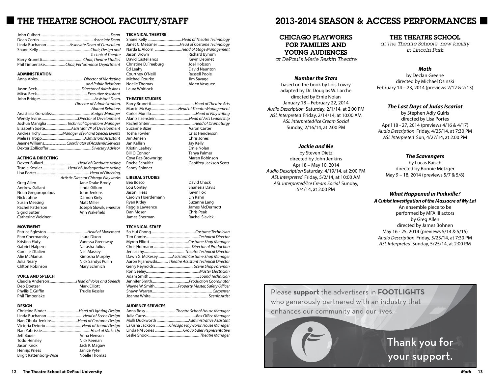## **THE THEATRE SCHOOL FACULTY/STAFF**

| <b>Technical Theatre</b> |
|--------------------------|
|                          |
|                          |

#### **ADMINISTRATION**

| and Public Relations                          |
|-----------------------------------------------|
|                                               |
|                                               |
|                                               |
| Director of Administration.                   |
| Alumni Relations                              |
|                                               |
|                                               |
| Joshua Maniglia Technical Operations Manager  |
|                                               |
| Andrea Tichy Manager of PR and Special Events |
|                                               |
|                                               |
|                                               |
|                                               |

### **ACTING & DIRECTING**

|                         | Trudie Kessler Head of Undergraduate Acting |
|-------------------------|---------------------------------------------|
|                         |                                             |
|                         | Artistic Director Chicago Playworks         |
| Greg Allen              | Jane Drake Brody                            |
| <b>Andrew Gallant</b>   | Linda Gillum                                |
| Noah Gregoropolous      | John Jenkins                                |
| Nick Johne              | Damon Kiely                                 |
| Susan Messing           | <b>Matt Miller</b>                          |
| <b>Rachel Patterson</b> | Joseph Slowik, emeritus                     |
| Sigrid Sutter           | Ann Wakefield                               |
| Catherine Weidner       |                                             |
|                         |                                             |
| MOVEMENT                |                                             |

| Pam Chermansky    | Laura Dixon               |
|-------------------|---------------------------|
| Kristina Fluty    | Vanessa Greenway          |
| Gabriel Halpern   | Natasha Julius            |
| Camille L'Italien | <b>Neil Massey</b>        |
| Alie McManus      | Kimosha Murphy            |
| Julia Nearv       | <b>Nick Sandys Pullin</b> |

Clifton Robinson Mary Schmich

#### **VOICE AND SPEECH**

|                    | Claudia AndersonHead of Voice and Speech |
|--------------------|------------------------------------------|
| Deb Doetzer        | <b>Mark Elliott</b>                      |
| Phyllis E. Griffin | Trudie Kessler                           |
| Phil Timberlake    |                                          |

#### **DESIGN**

|                               | Nan Cibula-Jenkins Head of Costume Design |
|-------------------------------|-------------------------------------------|
|                               |                                           |
|                               |                                           |
| Jeff Bauer                    | Anna Henson                               |
| <b>Todd Hensley</b>           | Nick Keenan                               |
| Jason Knox                    | Jack K. Magaw                             |
| <b>Henrijs Priess</b>         | Janice Pytel                              |
| <b>Birgit Rattenborg-Wise</b> | Noelle Thomas                             |

#### **TECHNICAL THEATRE**

|                          | Janet C. Messmer Head of Costume Technology |
|--------------------------|---------------------------------------------|
|                          | Narda E. Alcorn  Head of Stage Management   |
| Jason Brown              | <b>Richard Bynum</b>                        |
| <b>David Castellanos</b> | <b>Kevin Depinet</b>                        |
| Christine D. Freeburg    | Joel Hobson                                 |
| Ed Leahy                 | David Naunton                               |
| Courtney O'Neill         | <b>Russell Poole</b>                        |
| Michael Rourke           | Jim Savage                                  |
| Noelle Thomas            | Alden Vasquez                               |

### Laura Whitlock **THEATRE STUDIES**

|                      | Marcie McVayHead of Theatre Management  |
|----------------------|-----------------------------------------|
|                      |                                         |
|                      | Alan SalzensteinHead of Arts Leadership |
|                      |                                         |
| Suzanne Bizer        | Aaron Carter                            |
| <b>Tosha Fowler</b>  | Criss Henderson                         |
| Jim Jensen           | Chris Jones                             |
| Jan Kallish          | Jay Kelly                               |
| Kristin Leahey       | Ernie Nolan                             |
| <b>Bill O'Connor</b> | Tanya Palmer                            |
| Coya Paz-Brownrigg   | Maren Robinson                          |
| Roche Schulfer       | Geoffrey Jackson Scott                  |
| Sandy Shinner        |                                         |

**LIBERAL STUDIES** Bea Bosco David Chack Shanesia Davis<br>Kevin Fox Jason Fliess Kevin Fox Carolyn Hoerdemann<br>Ryan Kitley Suzanne Lang<br>James McDermott Reggie Lawrence Figures McDermotics McDermotics James McDermotics McDermotics McDermotics McDermotics McDermot<br>Chris Peak Dan Moser Chris Peak James Sherman

### **TECHNICAL STAFF**

| Dawn G. McKesey Assistant Costume Shop Manager        |
|-------------------------------------------------------|
| Aaron Pijanowski Theatre Assistant Technical Director |
|                                                       |
|                                                       |
|                                                       |
|                                                       |
| Wayne W. SmithProperty Master, Safety Officer         |
|                                                       |
|                                                       |
|                                                       |

#### **AUDIENCE SERVICES**

| Anna Bosy Theatre School House Manager          |
|-------------------------------------------------|
|                                                 |
|                                                 |
| LaKisha Jackson Chicago Playworks House Manager |
| Linda RM Jones Group Sales Representative       |
|                                                 |
|                                                 |

## 2013-2014 SEASON & ACCESS PERFORMANCES

### CHICAGO PLAYWORKS FOR FAMILIES AND YOUNG AUDIENCES

*at DePaul's Merle Reskin Theatre*

### *Number the Stars*

based on the book by Lois Lowry adapted by Dr. Douglas W. Larche directed by Ernie Nolan January 18 – February 22, 2014 *Audio Description* Saturday, 2/1/14, at 2:00 PM *ASL Interpreted* Friday, 2/14/14, at 10:00 AM *ASL Interpreted/Ice Cream Social*  Sunday, 2/16/14, at 2:00 PM

### *Jackie and Me*

by Steven Dietz directed by John Jenkins April 8 – May 10, 2014 *Audio Description* Saturday, 4/19/14, at 2:00 PM *ASL Interpreted* Friday, 5/2/14, at 10:00 AM *ASL Interpreted/Ice Cream Social* Sunday, 5/4/14, at 2:00 PM

### THE THEATRE SCHOOL

*at The Theatre School's new facility in Lincoln Park*

### *Moth*

by Declan Greene directed by Michael Osinski February 14 – 23, 2014 (previews 2/12 & 2/13)

### *The Last Days of Judas Iscariot*

by Stephen Adly Guiris directed by Lisa Portes April 18 - 27, 2014 (previews 4/16 & 4/17) *Audio Description* Friday, 4/25/14, at 7:30 PM *ASL Interpreted* Sun, 4/27/14, at 2:00 PM

### *The Scavengers*

by Lucas Baisch directed by Bonnie Metzger May 9 – 18, 2014 (previews 5/7 & 5/8)

### *What Happened in Pinkville?*

*A Cubist Investigation of the Massacre of My Lai* An ensemble piece to be performed by MFA III actors by Greg Allen directed by James Bohnen May 16 - 25, 2014 (previews 5/14 & 5/15) *Audio Description* Friday, 5/23/14, at 7:30 PM *ASL Interpreted* Sunday, 5/25/14, at 2:00 PM

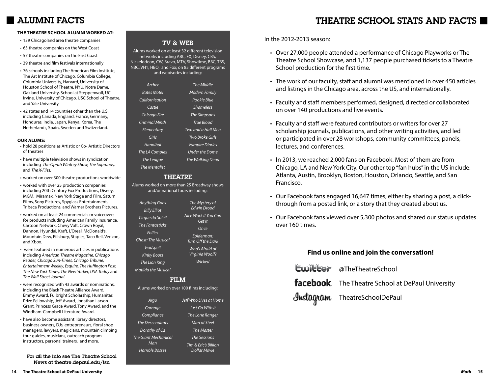## ALUMNI FACTS

### **THE THEATRE SCHOOL ALUMNI WORKED AT:**

- 139 Chicagoland area theatre companies
- 65 theatre companies on the West Coast
- 57 theatre companies on the East Coast
- 39 theatre and film festivals internationally
- 76 schools including The American Film Institute, The Art Institute of Chicago, Columbia College, Columbia University, Harvard, University of Houston School of Theatre, NYU, Notre Dame, Oakland University, School at Steppenwolf, UC Irvine, University of Chicago, USC School of Theatre, and Yale University.
- 42 states and 14 countries other than the U.S. including Canada, England, France, Germany, Honduras, India, Japan, Kenya, Korea, The Netherlands, Spain, Sweden and Switzerland.

### **OUR ALUMS:**

- hold 28 positions as Artistic or Co- Artistic Directors of theatres
- have multiple television shows in syndication including *The Oprah Winfrey Show, The Sopranos,*  and *The X-Files.*
- worked on over 300 theatre productions worldwide
- worked with over 25 production companies including 20th Century Fox Productions, Disney, MGM, Miramax, New York Stage and Film, Saturn Films, Sony Pictures, Spyglass Entertainment, Tribeca Productions, and Warner Brothers Pictures.
- worked on at least 24 commercials or voiceovers for products including American Family Insurance, Cartoon Network, Chevy Volt, Crown Royal, Dannon, Hyundai, Kraft, L'Oreal, McDonald's, Mountain Dew, Pillsbury, Staples, Taco Bell, Verizon, and Xbox.
- were featured in numerous articles in publications including *American Theatre Magazine, Chicago Reader, Chicago Sun-Times, Chicago Tribune, Entertainment Weekly, Esquire, The Huffington Post, The New York Times, The New Yorker, USA Today* and *The Wall Street Journal.*
- were recognized with 43 awards or nominations, including the Black Theatre Alliance Award, Emmy Award, Fulbright Scholarship, Humanitas Prize Fellowship, Jeff Award, Jonathan Larson Grant, Princess Grace Award, Tony Award, and the Windham-Campbell Literature Award.
- have also become assistant library directors, business owners, DJs, entrepreneurs, floral shop managers, lawyers, magicians, mountain climbing tour guides, musicians, outreach program instructors, personal trainers, and more.

For all the info see The Theatre School News at theatre.depaul.edu/tsn

### TV & WEB

Alums worked on at least 32 different television networks including ABC, FX, Disney, CBS, Nickelodeon, CW, Bravo, MTV, Showtime, BBC, TBS, NBC, VH1, HBO, and Fox; on 85 different programs and webisodes including:

| Archer               | The Middle              |
|----------------------|-------------------------|
| <b>Bates Motel</b>   | <b>Modern Family</b>    |
| Californication      | Rookie Blue             |
| Castle               | <i><b>Shameless</b></i> |
| Chicago Fire         | <b>The Simpsons</b>     |
| Criminal Minds       | True Blood              |
| Elementary           | Two and a Half Men      |
| Girls                | Two Broke Girls         |
| Hannihal             | <b>Vampire Diaries</b>  |
| The LA Complex       | <b>Under the Dome</b>   |
| The League           | The Walking Dead        |
| <b>The Mentalist</b> |                         |

### **THEATRE**

Alums worked on more than 25 Broadway shows and/or national tours including:

> *Cirque du Soleil The Fantasticks*

*Ghost: The Musical* 

*The Lion King Matil* 

*The Giant Mechanical* 

| Anything Goes<br><b>Billy Elliot</b>          | The Mystery of<br><b>Edwin Drood</b> |
|-----------------------------------------------|--------------------------------------|
| Cirque du Soleil                              | Nice Work If You Can<br>Get It       |
| The Fan <del>tasticks</del><br><b>Follies</b> | Once                                 |
| host: The Musical                             | Spiderman:<br>Turn Off the Dark      |
| Godspell<br><b>Kinky Boots</b>                | Who's Afraid of<br>Virginia Woolf?   |
| The Lion King                                 | Wicked                               |
| atilda the Musical                            |                                      |

### FILM

Alums worked on over 100 films including:

| Jeff Who Lives at Home |
|------------------------|
|                        |
|                        |
|                        |
|                        |
|                        |
|                        |
|                        |
|                        |

In the 2012-2013 season:

- Over 27,000 people attended a performance of Chicago Playworks or The Theatre School Showcase, and 1,137 people purchased tickets to a Theatre School production for the first time.
- The work of our faculty, staff and alumni was mentioned in over 450 articles and listings in the Chicago area, across the US, and internationally.
- Faculty and staff members performed, designed, directed or collaborated on over 140 productions and live events.
- Faculty and staff were featured contributors or writers for over 27 scholarship journals, publications, and other writing activities, and led or participated in over 28 workshops, community committees, panels, lectures, and conferences.
- In 2013, we reached 2,000 fans on Facebook. Most of them are from Chicago, LA and New York City. Our other top "fan hubs" in the US include: Atlanta, Austin, Brooklyn, Boston, Houston, Orlando, Seattle, and San Francisco.
- Our Facebook fans engaged 16,647 times, either by sharing a post, a clickthrough from a posted link, or a story that they created about us.
- Our Facebook fans viewed over 5,300 photos and shared our status updates over 160 times.

### **Find us online and join the conversation!**

| <b>Ewitter</b> @TheTheatreSchool                  |
|---------------------------------------------------|
| facebook. The Theatre School at DePaul University |
| <b>Instagram</b> TheatreSchoolDePaul              |

## THEATRE SCHOOL STATS AND FACTS